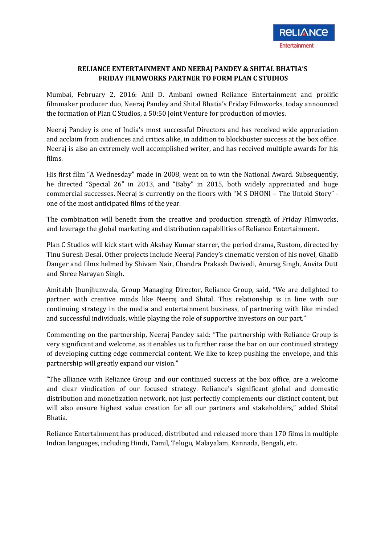## **RELIANCE ENTERTAINMENT AND NEERAJ PANDEY & SHITAL BHATIA'S FRIDAY FILMWORKS PARTNER TO FORM PLAN C STUDIOS**

Mumbai, February 2, 2016: Anil D. Ambani owned Reliance Entertainment and prolific filmmaker producer duo, Neeraj Pandey and Shital Bhatia's Friday Filmworks, today announced the formation of Plan C Studios, a 50:50 Joint Venture for production of movies.

Neeraj Pandey is one of India's most successful Directors and has received wide appreciation and acclaim from audiences and critics alike, in addition to blockbuster success at the box office. Neeraj is also an extremely well accomplished writer, and has received multiple awards for his films.

His first film "A Wednesday" made in 2008, went on to win the National Award. Subsequently, he directed "Special 26" in 2013, and "Baby" in 2015, both widely appreciated and huge commercial successes. Neeraj is currently on the floors with "M S DHONI – The Untold Story" one of the most anticipated films of the year.

The combination will benefit from the creative and production strength of Friday Filmworks, and leverage the global marketing and distribution capabilities of Reliance Entertainment.

Plan C Studios will kick start with Akshay Kumar starrer, the period drama, Rustom, directed by Tinu Suresh Desai. Other projects include Neeraj Pandey's cinematic version of his novel, Ghalib Danger and films helmed by Shivam Nair, Chandra Prakash Dwivedi, Anurag Singh, Anvita Dutt and Shree Narayan Singh.

Amitabh Jhunjhunwala, Group Managing Director, Reliance Group, said, "We are delighted to partner with creative minds like Neeraj and Shital. This relationship is in line with our continuing strategy in the media and entertainment business, of partnering with like minded and successful individuals, while playing the role of supportive investors on our part."

Commenting on the partnership, Neeraj Pandey said: "The partnership with Reliance Group is very significant and welcome, as it enables us to further raise the bar on our continued strategy of developing cutting edge commercial content. We like to keep pushing the envelope, and this partnership will greatly expand our vision."

"The alliance with Reliance Group and our continued success at the box office, are a welcome and clear vindication of our focused strategy. Reliance's significant global and domestic distribution and monetization network, not just perfectly complements our distinct content, but will also ensure highest value creation for all our partners and stakeholders," added Shital Bhatia.

Reliance Entertainment has produced, distributed and released more than 170 films in multiple Indian languages, including Hindi, Tamil, Telugu, Malayalam, Kannada, Bengali, etc.